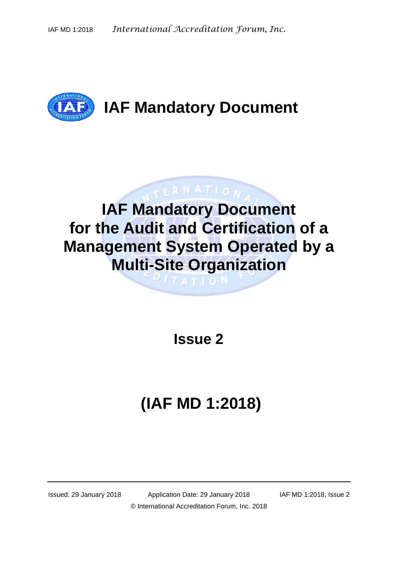

## **TERNATION IAF Mandatory Document for the Audit and Certification of a Management System Operated by a Multi-Site Organization**

**TATION** 

**Issue 2**

# **(IAF MD 1:2018)**

Issued: 29 January 2018 Application Date: 29 January 2018 IAF MD 1:2018, Issue 2 © International Accreditation Forum, Inc. 2018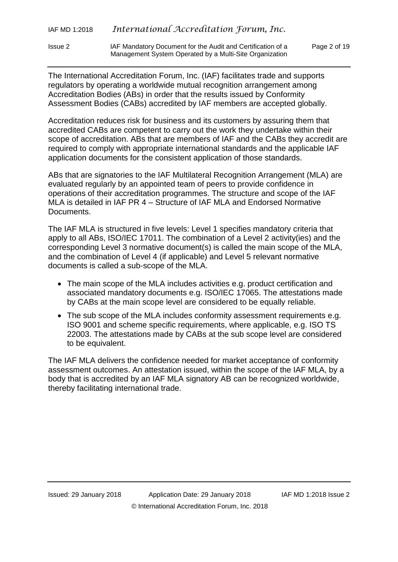The International Accreditation Forum, Inc. (IAF) facilitates trade and supports regulators by operating a worldwide mutual recognition arrangement among Accreditation Bodies (ABs) in order that the results issued by Conformity Assessment Bodies (CABs) accredited by IAF members are accepted globally.

Management System Operated by a Multi-Site Organization

Accreditation reduces risk for business and its customers by assuring them that accredited CABs are competent to carry out the work they undertake within their scope of accreditation. ABs that are members of IAF and the CABs they accredit are required to comply with appropriate international standards and the applicable IAF application documents for the consistent application of those standards.

ABs that are signatories to the IAF Multilateral Recognition Arrangement (MLA) are evaluated regularly by an appointed team of peers to provide confidence in operations of their accreditation programmes. The structure and scope of the IAF MLA is detailed in IAF PR 4 – Structure of IAF MLA and Endorsed Normative Documents.

The IAF MLA is structured in five levels: Level 1 specifies mandatory criteria that apply to all ABs, ISO/IEC 17011. The combination of a Level 2 activity(ies) and the corresponding Level 3 normative document(s) is called the main scope of the MLA, and the combination of Level 4 (if applicable) and Level 5 relevant normative documents is called a sub-scope of the MLA.

- The main scope of the MLA includes activities e.g. product certification and associated mandatory documents e.g. ISO/IEC 17065. The attestations made by CABs at the main scope level are considered to be equally reliable.
- The sub scope of the MLA includes conformity assessment requirements e.g. ISO 9001 and scheme specific requirements, where applicable, e.g. ISO TS 22003. The attestations made by CABs at the sub scope level are considered to be equivalent.

The IAF MLA delivers the confidence needed for market acceptance of conformity assessment outcomes. An attestation issued, within the scope of the IAF MLA, by a body that is accredited by an IAF MLA signatory AB can be recognized worldwide, thereby facilitating international trade.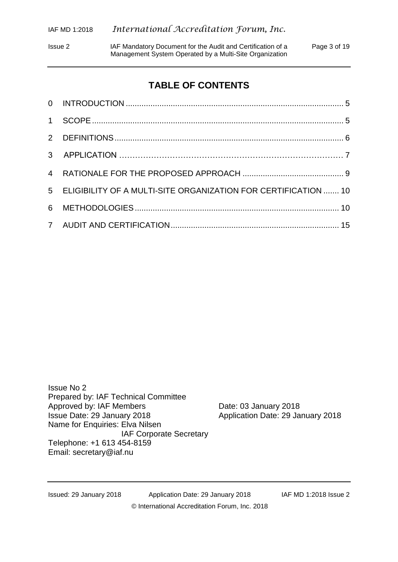Issue 2 IAF Mandatory Document for the Audit and Certification of a Page 3 of 19 Management System Operated by a Multi-Site Organization

## **TABLE OF CONTENTS**

| 5 ELIGIBILITY OF A MULTI-SITE ORGANIZATION FOR CERTIFICATION  10 |  |
|------------------------------------------------------------------|--|
|                                                                  |  |
|                                                                  |  |

Issue No 2 Prepared by: IAF Technical Committee Approved by: IAF Members Date: 03 January 2018<br>Issue Date: 29 January 2018 Application Date: 29 Ja Name for Enquiries: Elva Nilsen IAF Corporate Secretary Telephone: +1 613 454-8159 Email: [secretary@iaf.nu](mailto:secretary@iaf.nu)

Application Date: 29 January 2018

Issued: 29 January 2018 Application Date: 29 January 2018 IAF MD 1:2018 Issue 2 © International Accreditation Forum, Inc. 2018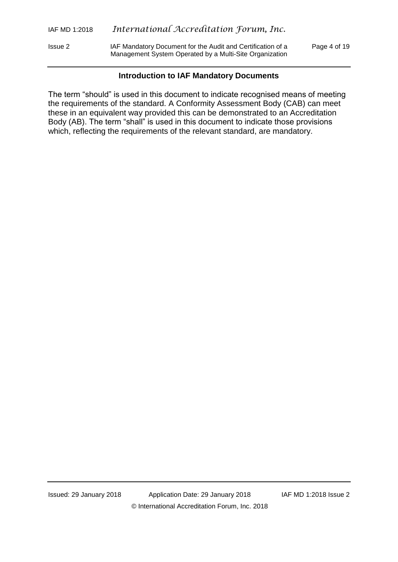Issue 2 IAF Mandatory Document for the Audit and Certification of a Page 4 of 19 Management System Operated by a Multi-Site Organization

## **Introduction to IAF Mandatory Documents**

The term "should" is used in this document to indicate recognised means of meeting the requirements of the standard. A Conformity Assessment Body (CAB) can meet these in an equivalent way provided this can be demonstrated to an Accreditation Body (AB). The term "shall" is used in this document to indicate those provisions which, reflecting the requirements of the relevant standard, are mandatory.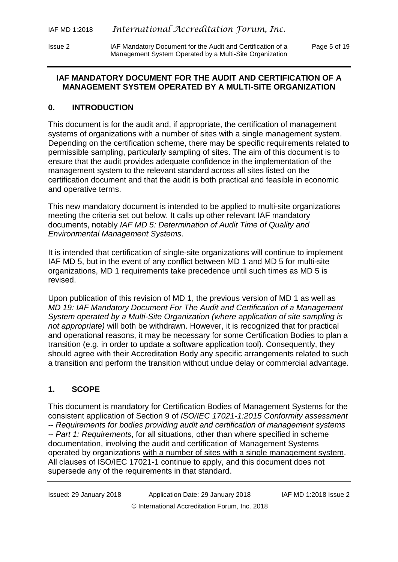## **IAF MANDATORY DOCUMENT FOR THE AUDIT AND CERTIFICATION OF A MANAGEMENT SYSTEM OPERATED BY A MULTI-SITE ORGANIZATION**

## <span id="page-4-0"></span>**0. INTRODUCTION**

This document is for the audit and, if appropriate, the certification of management systems of organizations with a number of sites with a single management system. Depending on the certification scheme, there may be specific requirements related to permissible sampling, particularly sampling of sites. The aim of this document is to ensure that the audit provides adequate confidence in the implementation of the management system to the relevant standard across all sites listed on the certification document and that the audit is both practical and feasible in economic and operative terms.

This new mandatory document is intended to be applied to multi-site organizations meeting the criteria set out below. It calls up other relevant IAF mandatory documents, notably *IAF MD 5: Determination of Audit Time of Quality and Environmental Management Systems*.

It is intended that certification of single-site organizations will continue to implement IAF MD 5, but in the event of any conflict between MD 1 and MD 5 for multi-site organizations, MD 1 requirements take precedence until such times as MD 5 is revised.

Upon publication of this revision of MD 1, the previous version of MD 1 as well as *MD 19: IAF Mandatory Document For The Audit and Certification of a Management System operated by a Multi-Site Organization (where application of site sampling is not appropriate)* will both be withdrawn. However, it is recognized that for practical and operational reasons, it may be necessary for some Certification Bodies to plan a transition (e.g. in order to update a software application tool). Consequently, they should agree with their Accreditation Body any specific arrangements related to such a transition and perform the transition without undue delay or commercial advantage.

## <span id="page-4-1"></span>**1. SCOPE**

This document is mandatory for Certification Bodies of Management Systems for the consistent application of Section 9 of *ISO/IEC 17021-1:2015 Conformity assessment -- Requirements for bodies providing audit and certification of management systems -- Part 1: Requirements*, for all situations, other than where specified in scheme documentation, involving the audit and certification of Management Systems operated by organizations with a number of sites with a single management system. All clauses of ISO/IEC 17021-1 continue to apply, and this document does not supersede any of the requirements in that standard.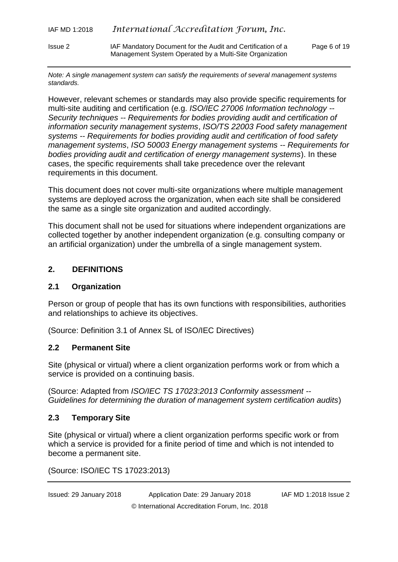*Note: A single management system can satisfy the requirements of several management systems standards.*

Management System Operated by a Multi-Site Organization

However, relevant schemes or standards may also provide specific requirements for multi-site auditing and certification (e.g. *ISO/IEC 27006 Information technology -- Security techniques -- Requirements for bodies providing audit and certification of information security management systems*, *ISO/TS 22003 Food safety management systems -- Requirements for bodies providing audit and certification of food safety management systems*, *ISO 50003 Energy management systems -- Requirements for bodies providing audit and certification of energy management systems*). In these cases, the specific requirements shall take precedence over the relevant requirements in this document.

This document does not cover multi-site organizations where multiple management systems are deployed across the organization, when each site shall be considered the same as a single site organization and audited accordingly.

This document shall not be used for situations where independent organizations are collected together by another independent organization (e.g. consulting company or an artificial organization) under the umbrella of a single management system.

## <span id="page-5-0"></span>**2. DEFINITIONS**

## **2.1 Organization**

Person or group of people that has its own functions with responsibilities, authorities and relationships to achieve its objectives.

(Source: Definition 3.1 of Annex SL of ISO/IEC Directives)

#### **2.2 Permanent Site**

Site (physical or virtual) where a client organization performs work or from which a service is provided on a continuing basis.

(Source: Adapted from *ISO/IEC TS 17023:2013 Conformity assessment -- Guidelines for determining the duration of management system certification audits*)

## **2.3 Temporary Site**

Site (physical or virtual) where a client organization performs specific work or from which a service is provided for a finite period of time and which is not intended to become a permanent site.

(Source: ISO/IEC TS 17023:2013)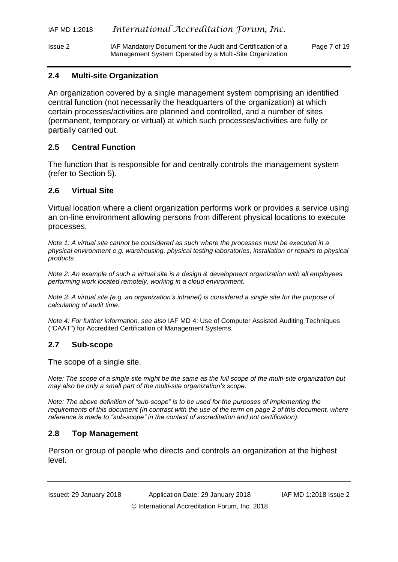Issue 2 IAF Mandatory Document for the Audit and Certification of a Page 7 of 19 Management System Operated by a Multi-Site Organization

## **2.4 Multi-site Organization**

An organization covered by a single management system comprising an identified central function (not necessarily the headquarters of the organization) at which certain processes/activities are planned and controlled, and a number of sites (permanent, temporary or virtual) at which such processes/activities are fully or partially carried out.

## **2.5 Central Function**

The function that is responsible for and centrally controls the management system (refer to Section 5).

## **2.6 Virtual Site**

Virtual location where a client organization performs work or provides a service using an on-line environment allowing persons from different physical locations to execute processes.

*Note 1: A virtual site cannot be considered as such where the processes must be executed in a physical environment e.g. warehousing, physical testing laboratories, installation or repairs to physical products.*

*Note 2: An example of such a virtual site is a design & development organization with all employees performing work located remotely, working in a cloud environment.*

*Note 3: A virtual site (e.g. an organization's intranet) is considered a single site for the purpose of calculating of audit time.*

*Note 4: For further information, see also* IAF MD 4: Use of Computer Assisted Auditing Techniques ("CAAT") for Accredited Certification of Management Systems*.*

## **2.7 Sub-scope**

The scope of a single site.

*Note: The scope of a single site might be the same as the full scope of the multi-site organization but may also be only a small part of the multi-site organization's scope.*

*Note: The above definition of "sub-scope" is to be used for the purposes of implementing the requirements of this document (in contrast with the use of the term on page 2 of this document, where reference is made to "sub-scope" in the context of accreditation and not certification).*

## **2.8 Top Management**

Person or group of people who directs and controls an organization at the highest level.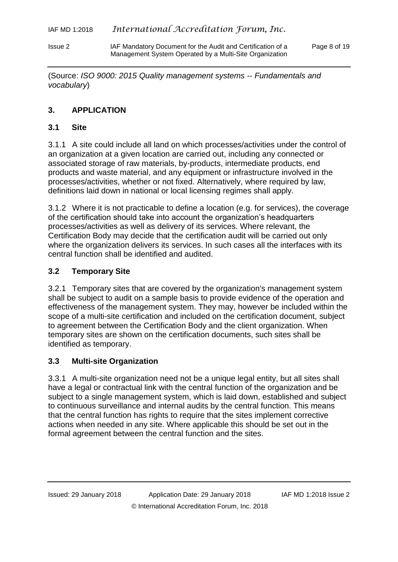(Source: *ISO 9000: 2015 Quality management systems -- Fundamentals and vocabulary*)

## **3. APPLICATION**

## **3.1 Site**

3.1.1 A site could include all land on which processes/activities under the control of an organization at a given location are carried out, including any connected or associated storage of raw materials, by-products, intermediate products, end products and waste material, and any equipment or infrastructure involved in the processes/activities, whether or not fixed. Alternatively, where required by law, definitions laid down in national or local licensing regimes shall apply.

3.1.2 Where it is not practicable to define a location (e.g. for services), the coverage of the certification should take into account the organization's headquarters processes/activities as well as delivery of its services. Where relevant, the Certification Body may decide that the certification audit will be carried out only where the organization delivers its services. In such cases all the interfaces with its central function shall be identified and audited.

## **3.2 Temporary Site**

3.2.1 Temporary sites that are covered by the organization's management system shall be subject to audit on a sample basis to provide evidence of the operation and effectiveness of the management system. They may, however be included within the scope of a multi-site certification and included on the certification document, subject to agreement between the Certification Body and the client organization. When temporary sites are shown on the certification documents, such sites shall be identified as temporary.

## **3.3 Multi-site Organization**

3.3.1 A multi-site organization need not be a unique legal entity, but all sites shall have a legal or contractual link with the central function of the organization and be subject to a single management system, which is laid down, established and subject to continuous surveillance and internal audits by the central function. This means that the central function has rights to require that the sites implement corrective actions when needed in any site. Where applicable this should be set out in the formal agreement between the central function and the sites.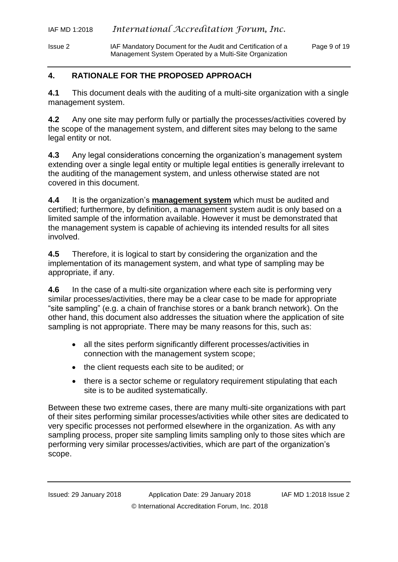## <span id="page-8-0"></span>**4. RATIONALE FOR THE PROPOSED APPROACH**

**4.1** This document deals with the auditing of a multi-site organization with a single management system.

**4.2** Any one site may perform fully or partially the processes/activities covered by the scope of the management system, and different sites may belong to the same legal entity or not.

**4.3** Any legal considerations concerning the organization's management system extending over a single legal entity or multiple legal entities is generally irrelevant to the auditing of the management system, and unless otherwise stated are not covered in this document.

**4.4** It is the organization's **management system** which must be audited and certified; furthermore, by definition, a management system audit is only based on a limited sample of the information available. However it must be demonstrated that the management system is capable of achieving its intended results for all sites involved.

**4.5** Therefore, it is logical to start by considering the organization and the implementation of its management system, and what type of sampling may be appropriate, if any.

**4.6** In the case of a multi-site organization where each site is performing very similar processes/activities, there may be a clear case to be made for appropriate "site sampling" (e.g. a chain of franchise stores or a bank branch network). On the other hand, this document also addresses the situation where the application of site sampling is not appropriate. There may be many reasons for this, such as:

- all the sites perform significantly different processes/activities in connection with the management system scope;
- the client requests each site to be audited; or
- there is a sector scheme or regulatory requirement stipulating that each site is to be audited systematically.

Between these two extreme cases, there are many multi-site organizations with part of their sites performing similar processes/activities while other sites are dedicated to very specific processes not performed elsewhere in the organization. As with any sampling process, proper site sampling limits sampling only to those sites which are performing very similar processes/activities, which are part of the organization's scope.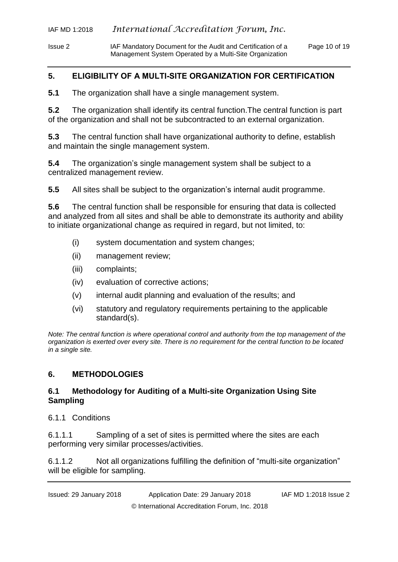Issue 2 IAF Mandatory Document for the Audit and Certification of a Page 10 of 19 Management System Operated by a Multi-Site Organization

## <span id="page-9-0"></span>**5. ELIGIBILITY OF A MULTI-SITE ORGANIZATION FOR CERTIFICATION**

**5.1** The organization shall have a single management system.

**5.2** The organization shall identify its central function.The central function is part of the organization and shall not be subcontracted to an external organization.

**5.3** The central function shall have organizational authority to define, establish and maintain the single management system.

**5.4** The organization's single management system shall be subject to a centralized management review.

**5.5** All sites shall be subject to the organization's internal audit programme.

**5.6** The central function shall be responsible for ensuring that data is collected and analyzed from all sites and shall be able to demonstrate its authority and ability to initiate organizational change as required in regard, but not limited, to:

- (i) system documentation and system changes;
- (ii) management review;
- (iii) complaints;
- (iv) evaluation of corrective actions;
- (v) internal audit planning and evaluation of the results; and
- (vi) statutory and regulatory requirements pertaining to the applicable standard(s).

*Note: The central function is where operational control and authority from the top management of the organization is exerted over every site. There is no requirement for the central function to be located in a single site.*

## <span id="page-9-1"></span>**6. METHODOLOGIES**

## **6.1 Methodology for Auditing of a Multi-site Organization Using Site Sampling**

6.1.1 Conditions

6.1.1.1 Sampling of a set of sites is permitted where the sites are each performing very similar processes/activities.

6.1.1.2 Not all organizations fulfilling the definition of "multi-site organization" will be eligible for sampling.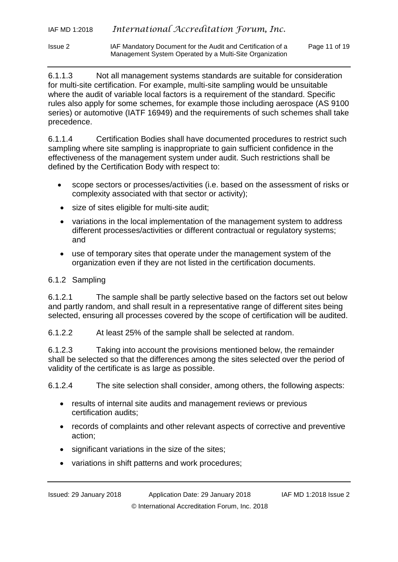Issue 2 IAF Mandatory Document for the Audit and Certification of a Page 11 of 19 Management System Operated by a Multi-Site Organization

6.1.1.3 Not all management systems standards are suitable for consideration for multi-site certification. For example, multi-site sampling would be unsuitable where the audit of variable local factors is a requirement of the standard. Specific rules also apply for some schemes, for example those including aerospace (AS 9100 series) or automotive (IATF 16949) and the requirements of such schemes shall take precedence.

6.1.1.4 Certification Bodies shall have documented procedures to restrict such sampling where site sampling is inappropriate to gain sufficient confidence in the effectiveness of the management system under audit. Such restrictions shall be defined by the Certification Body with respect to:

- scope sectors or processes/activities (i.e. based on the assessment of risks or complexity associated with that sector or activity);
- size of sites eligible for multi-site audit;
- variations in the local implementation of the management system to address different processes/activities or different contractual or regulatory systems; and
- use of temporary sites that operate under the management system of the organization even if they are not listed in the certification documents.

## 6.1.2 Sampling

6.1.2.1 The sample shall be partly selective based on the factors set out below and partly random, and shall result in a representative range of different sites being selected, ensuring all processes covered by the scope of certification will be audited.

6.1.2.2 At least 25% of the sample shall be selected at random.

6.1.2.3 Taking into account the provisions mentioned below, the remainder shall be selected so that the differences among the sites selected over the period of validity of the certificate is as large as possible.

6.1.2.4 The site selection shall consider, among others, the following aspects:

- results of internal site audits and management reviews or previous certification audits;
- records of complaints and other relevant aspects of corrective and preventive action;
- significant variations in the size of the sites;
- variations in shift patterns and work procedures;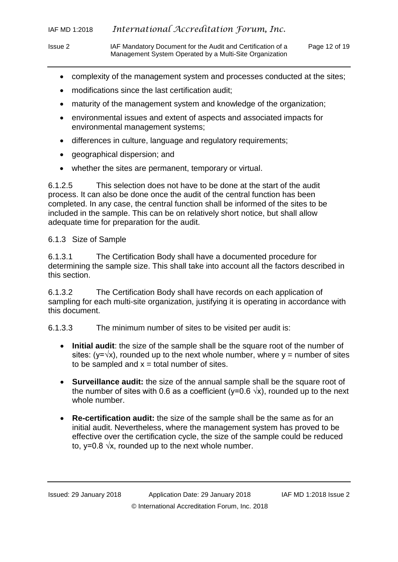- Issue 2 IAF Mandatory Document for the Audit and Certification of a Page 12 of 19 Management System Operated by a Multi-Site Organization
	- complexity of the management system and processes conducted at the sites;
	- modifications since the last certification audit;
	- maturity of the management system and knowledge of the organization;
	- environmental issues and extent of aspects and associated impacts for environmental management systems;
	- differences in culture, language and regulatory requirements;
	- geographical dispersion; and
	- whether the sites are permanent, temporary or virtual.

6.1.2.5 This selection does not have to be done at the start of the audit process. It can also be done once the audit of the central function has been completed. In any case, the central function shall be informed of the sites to be included in the sample. This can be on relatively short notice, but shall allow adequate time for preparation for the audit.

## 6.1.3 Size of Sample

6.1.3.1 The Certification Body shall have a documented procedure for determining the sample size. This shall take into account all the factors described in this section.

6.1.3.2 The Certification Body shall have records on each application of sampling for each multi-site organization, justifying it is operating in accordance with this document.

6.1.3.3 The minimum number of sites to be visited per audit is:

- **Initial audit**: the size of the sample shall be the square root of the number of sites: (y= $\sqrt{x}$ ), rounded up to the next whole number, where y = number of sites to be sampled and  $x =$  total number of sites.
- **Surveillance audit:** the size of the annual sample shall be the square root of the number of sites with 0.6 as a coefficient (y=0.6  $\sqrt{x}$ ), rounded up to the next whole number.
- **Re-certification audit:** the size of the sample shall be the same as for an initial audit. Nevertheless, where the management system has proved to be effective over the certification cycle, the size of the sample could be reduced to, y=0.8  $\sqrt{x}$ , rounded up to the next whole number.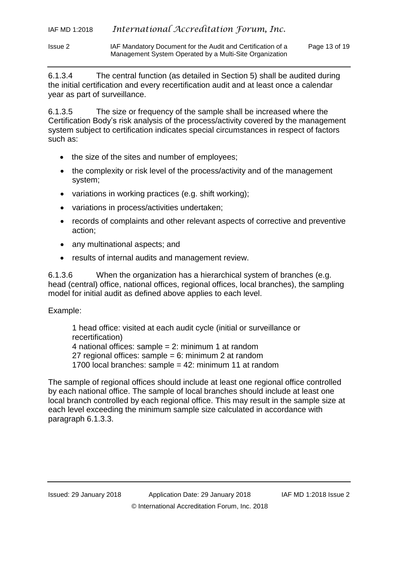Issue 2 IAF Mandatory Document for the Audit and Certification of a Page 13 of 19 Management System Operated by a Multi-Site Organization

6.1.3.4 The central function (as detailed in Section 5) shall be audited during the initial certification and every recertification audit and at least once a calendar year as part of surveillance.

6.1.3.5 The size or frequency of the sample shall be increased where the Certification Body's risk analysis of the process/activity covered by the management system subject to certification indicates special circumstances in respect of factors such as:

- the size of the sites and number of employees;
- the complexity or risk level of the process/activity and of the management system;
- variations in working practices (e.g. shift working);
- variations in process/activities undertaken;
- records of complaints and other relevant aspects of corrective and preventive action;
- any multinational aspects; and
- results of internal audits and management review.

6.1.3.6 When the organization has a hierarchical system of branches (e.g. head (central) office, national offices, regional offices, local branches), the sampling model for initial audit as defined above applies to each level.

## Example:

1 head office: visited at each audit cycle (initial or surveillance or recertification) 4 national offices: sample = 2: minimum 1 at random 27 regional offices: sample =  $6:$  minimum 2 at random 1700 local branches: sample = 42: minimum 11 at random

The sample of regional offices should include at least one regional office controlled by each national office. The sample of local branches should include at least one local branch controlled by each regional office. This may result in the sample size at each level exceeding the minimum sample size calculated in accordance with paragraph 6.1.3.3.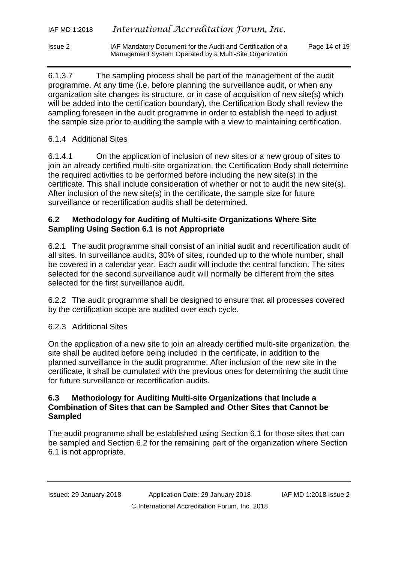| IAF MD 1:2018 | International Accreditation Forum, Inc. |  |
|---------------|-----------------------------------------|--|
|---------------|-----------------------------------------|--|

6.1.3.7 The sampling process shall be part of the management of the audit programme. At any time (i.e. before planning the surveillance audit, or when any organization site changes its structure, or in case of acquisition of new site(s) which will be added into the certification boundary), the Certification Body shall review the sampling foreseen in the audit programme in order to establish the need to adjust the sample size prior to auditing the sample with a view to maintaining certification.

## 6.1.4 Additional Sites

6.1.4.1 On the application of inclusion of new sites or a new group of sites to join an already certified multi-site organization, the Certification Body shall determine the required activities to be performed before including the new site(s) in the certificate. This shall include consideration of whether or not to audit the new site(s). After inclusion of the new site(s) in the certificate, the sample size for future surveillance or recertification audits shall be determined.

## **6.2 Methodology for Auditing of Multi-site Organizations Where Site Sampling Using Section 6.1 is not Appropriate**

6.2.1 The audit programme shall consist of an initial audit and recertification audit of all sites. In surveillance audits, 30% of sites, rounded up to the whole number, shall be covered in a calendar year. Each audit will include the central function. The sites selected for the second surveillance audit will normally be different from the sites selected for the first surveillance audit.

6.2.2 The audit programme shall be designed to ensure that all processes covered by the certification scope are audited over each cycle.

## 6.2.3 Additional Sites

On the application of a new site to join an already certified multi-site organization, the site shall be audited before being included in the certificate, in addition to the planned surveillance in the audit programme. After inclusion of the new site in the certificate, it shall be cumulated with the previous ones for determining the audit time for future surveillance or recertification audits.

## **6.3 Methodology for Auditing Multi-site Organizations that Include a Combination of Sites that can be Sampled and Other Sites that Cannot be Sampled**

The audit programme shall be established using Section 6.1 for those sites that can be sampled and Section 6.2 for the remaining part of the organization where Section 6.1 is not appropriate.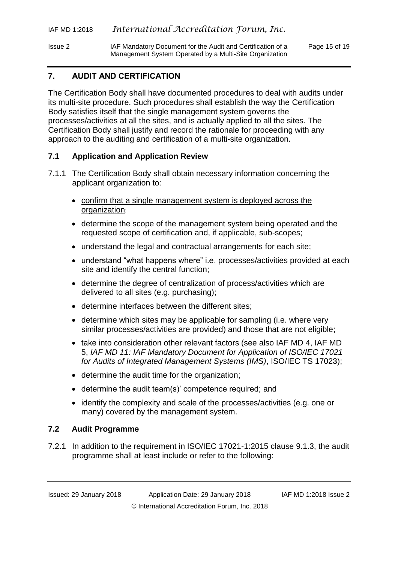Issue 2 IAF Mandatory Document for the Audit and Certification of a Page 15 of 19 Management System Operated by a Multi-Site Organization

## <span id="page-14-0"></span>**7. AUDIT AND CERTIFICATION**

The Certification Body shall have documented procedures to deal with audits under its multi-site procedure. Such procedures shall establish the way the Certification Body satisfies itself that the single management system governs the processes/activities at all the sites, and is actually applied to all the sites. The Certification Body shall justify and record the rationale for proceeding with any approach to the auditing and certification of a multi-site organization.

## **7.1 Application and Application Review**

- 7.1.1 The Certification Body shall obtain necessary information concerning the applicant organization to:
	- confirm that a single management system is deployed across the organization;
	- determine the scope of the management system being operated and the requested scope of certification and, if applicable, sub-scopes;
	- understand the legal and contractual arrangements for each site;
	- understand "what happens where" i.e. processes/activities provided at each site and identify the central function;
	- determine the degree of centralization of process/activities which are delivered to all sites (e.g. purchasing);
	- determine interfaces between the different sites;
	- determine which sites may be applicable for sampling (i.e. where very similar processes/activities are provided) and those that are not eligible;
	- take into consideration other relevant factors (see also IAF MD 4, IAF MD 5, *IAF MD 11: IAF Mandatory Document for Application of ISO/IEC 17021 for Audits of Integrated Management Systems (IMS)*, ISO/IEC TS 17023);
	- determine the audit time for the organization;
	- determine the audit team(s)' competence required; and
	- identify the complexity and scale of the processes/activities (e.g. one or many) covered by the management system.

#### **7.2 Audit Programme**

7.2.1 In addition to the requirement in ISO/IEC 17021-1:2015 clause 9.1.3, the audit programme shall at least include or refer to the following: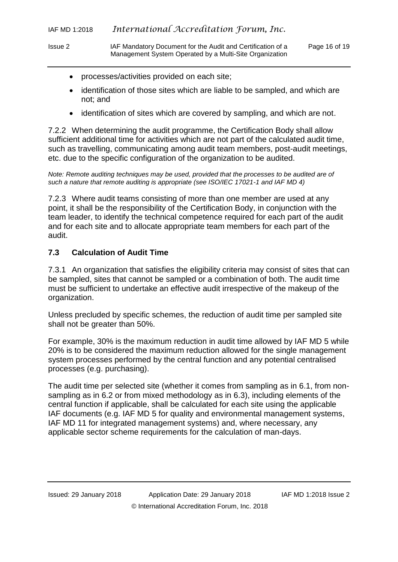- Issue 2 IAF Mandatory Document for the Audit and Certification of a Page 16 of 19 Management System Operated by a Multi-Site Organization
	- processes/activities provided on each site;
	- identification of those sites which are liable to be sampled, and which are not; and
	- identification of sites which are covered by sampling, and which are not.

7.2.2 When determining the audit programme, the Certification Body shall allow sufficient additional time for activities which are not part of the calculated audit time, such as travelling, communicating among audit team members, post-audit meetings, etc. due to the specific configuration of the organization to be audited.

*Note: Remote auditing techniques may be used, provided that the processes to be audited are of such a nature that remote auditing is appropriate (see ISO/IEC 17021-1 and IAF MD 4)*

7.2.3 Where audit teams consisting of more than one member are used at any point, it shall be the responsibility of the Certification Body, in conjunction with the team leader, to identify the technical competence required for each part of the audit and for each site and to allocate appropriate team members for each part of the audit.

## **7.3 Calculation of Audit Time**

7.3.1 An organization that satisfies the eligibility criteria may consist of sites that can be sampled, sites that cannot be sampled or a combination of both. The audit time must be sufficient to undertake an effective audit irrespective of the makeup of the organization.

Unless precluded by specific schemes, the reduction of audit time per sampled site shall not be greater than 50%.

For example, 30% is the maximum reduction in audit time allowed by IAF MD 5 while 20% is to be considered the maximum reduction allowed for the single management system processes performed by the central function and any potential centralised processes (e.g. purchasing).

The audit time per selected site (whether it comes from sampling as in 6.1, from nonsampling as in 6.2 or from mixed methodology as in 6.3), including elements of the central function if applicable, shall be calculated for each site using the applicable IAF documents (e.g. IAF MD 5 for quality and environmental management systems, IAF MD 11 for integrated management systems) and, where necessary, any applicable sector scheme requirements for the calculation of man-days.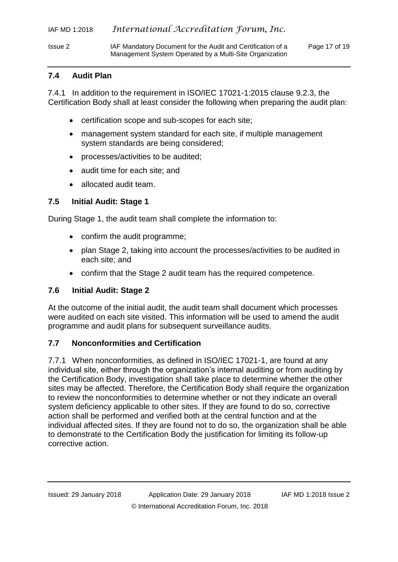Issue 2 IAF Mandatory Document for the Audit and Certification of a Page 17 of 19 Management System Operated by a Multi-Site Organization

## **7.4 Audit Plan**

7.4.1 In addition to the requirement in ISO/IEC 17021-1:2015 clause 9.2.3, the Certification Body shall at least consider the following when preparing the audit plan:

- certification scope and sub-scopes for each site;
- management system standard for each site, if multiple management system standards are being considered;
- processes/activities to be audited;
- audit time for each site; and
- allocated audit team.

## **7.5 Initial Audit: Stage 1**

During Stage 1, the audit team shall complete the information to:

- confirm the audit programme;
- plan Stage 2, taking into account the processes/activities to be audited in each site; and
- confirm that the Stage 2 audit team has the required competence.

## **7.6 Initial Audit: Stage 2**

At the outcome of the initial audit, the audit team shall document which processes were audited on each site visited. This information will be used to amend the audit programme and audit plans for subsequent surveillance audits.

## **7.7 Nonconformities and Certification**

7.7.1 When nonconformities, as defined in ISO/IEC 17021-1, are found at any individual site, either through the organization's internal auditing or from auditing by the Certification Body, investigation shall take place to determine whether the other sites may be affected. Therefore, the Certification Body shall require the organization to review the nonconformities to determine whether or not they indicate an overall system deficiency applicable to other sites. If they are found to do so, corrective action shall be performed and verified both at the central function and at the individual affected sites. If they are found not to do so, the organization shall be able to demonstrate to the Certification Body the justification for limiting its follow-up corrective action.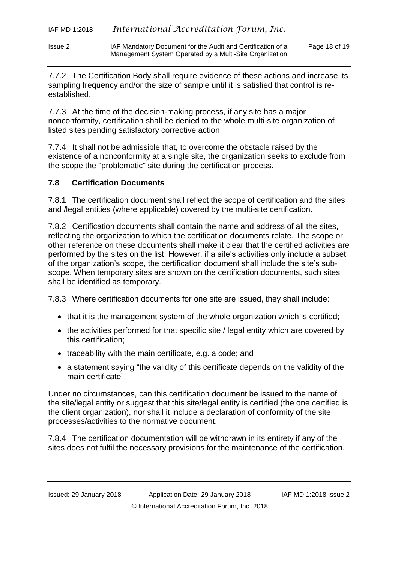Issue 2 IAF Mandatory Document for the Audit and Certification of a Page 18 of 19 Management System Operated by a Multi-Site Organization

7.7.2 The Certification Body shall require evidence of these actions and increase its sampling frequency and/or the size of sample until it is satisfied that control is reestablished.

7.7.3 At the time of the decision-making process, if any site has a major nonconformity, certification shall be denied to the whole multi-site organization of listed sites pending satisfactory corrective action.

7.7.4 It shall not be admissible that, to overcome the obstacle raised by the existence of a nonconformity at a single site, the organization seeks to exclude from the scope the "problematic" site during the certification process.

## **7.8 Certification Documents**

7.8.1 The certification document shall reflect the scope of certification and the sites and /legal entities (where applicable) covered by the multi-site certification.

7.8.2 Certification documents shall contain the name and address of all the sites, reflecting the organization to which the certification documents relate. The scope or other reference on these documents shall make it clear that the certified activities are performed by the sites on the list. However, if a site's activities only include a subset of the organization's scope, the certification document shall include the site's subscope. When temporary sites are shown on the certification documents, such sites shall be identified as temporary.

7.8.3 Where certification documents for one site are issued, they shall include:

- that it is the management system of the whole organization which is certified;
- the activities performed for that specific site / legal entity which are covered by this certification;
- traceability with the main certificate, e.g. a code; and
- a statement saying "the [validity](http://www.linguee.es/ingles-espanol/traduccion/validity.html) of this certificate depends on the validity of the main certificate".

Under no circumstances, can this certification document be issued to the name of the site/legal entity or suggest that this site/legal entity is certified (the one certified is the client organization), nor shall it include a declaration of conformity of the site processes/activities to the normative document.

7.8.4 The certification documentation will be withdrawn in its entirety if any of the sites does not fulfil the necessary provisions for the maintenance of the certification.